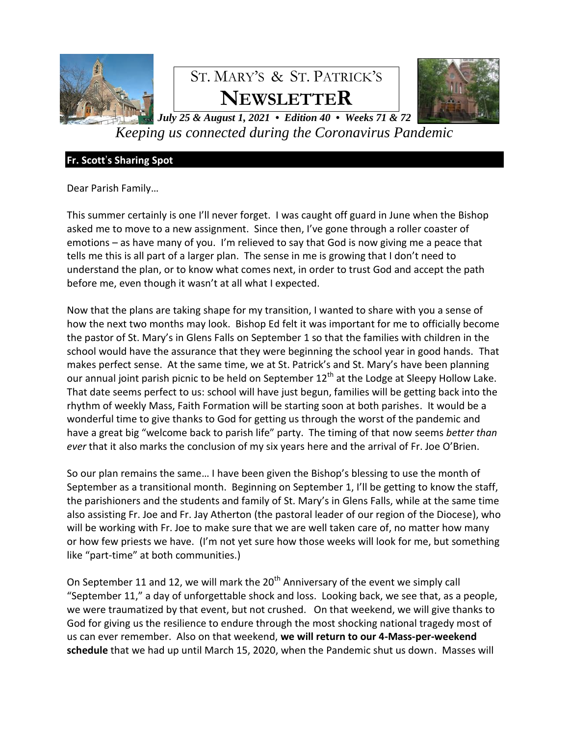

# ST. MARY'S & ST. PATRICK'S **NEWSLETTER**



*July 25 & August 1, 2021 • Edition 40 • Weeks 71 & 72 Keeping us connected during the Coronavirus Pandemic*

# **Fr. Scott**'**s Sharing Spot**

Dear Parish Family…

This summer certainly is one I'll never forget. I was caught off guard in June when the Bishop asked me to move to a new assignment. Since then, I've gone through a roller coaster of emotions – as have many of you. I'm relieved to say that God is now giving me a peace that tells me this is all part of a larger plan. The sense in me is growing that I don't need to understand the plan, or to know what comes next, in order to trust God and accept the path before me, even though it wasn't at all what I expected.

Now that the plans are taking shape for my transition, I wanted to share with you a sense of how the next two months may look. Bishop Ed felt it was important for me to officially become the pastor of St. Mary's in Glens Falls on September 1 so that the families with children in the school would have the assurance that they were beginning the school year in good hands. That makes perfect sense. At the same time, we at St. Patrick's and St. Mary's have been planning our annual joint parish picnic to be held on September  $12<sup>th</sup>$  at the Lodge at Sleepy Hollow Lake. That date seems perfect to us: school will have just begun, families will be getting back into the rhythm of weekly Mass, Faith Formation will be starting soon at both parishes. It would be a wonderful time to give thanks to God for getting us through the worst of the pandemic and have a great big "welcome back to parish life" party. The timing of that now seems *better than ever* that it also marks the conclusion of my six years here and the arrival of Fr. Joe O'Brien.

So our plan remains the same… I have been given the Bishop's blessing to use the month of September as a transitional month. Beginning on September 1, I'll be getting to know the staff, the parishioners and the students and family of St. Mary's in Glens Falls, while at the same time also assisting Fr. Joe and Fr. Jay Atherton (the pastoral leader of our region of the Diocese), who will be working with Fr. Joe to make sure that we are well taken care of, no matter how many or how few priests we have. (I'm not yet sure how those weeks will look for me, but something like "part-time" at both communities.)

On September 11 and 12, we will mark the  $20<sup>th</sup>$  Anniversary of the event we simply call "September 11," a day of unforgettable shock and loss. Looking back, we see that, as a people, we were traumatized by that event, but not crushed. On that weekend, we will give thanks to God for giving us the resilience to endure through the most shocking national tragedy most of us can ever remember. Also on that weekend, **we will return to our 4-Mass-per-weekend schedule** that we had up until March 15, 2020, when the Pandemic shut us down. Masses will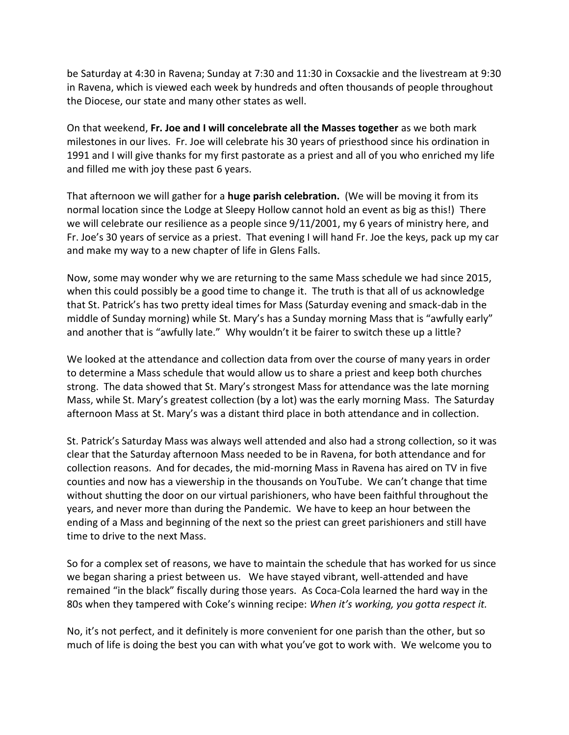be Saturday at 4:30 in Ravena; Sunday at 7:30 and 11:30 in Coxsackie and the livestream at 9:30 in Ravena, which is viewed each week by hundreds and often thousands of people throughout the Diocese, our state and many other states as well.

On that weekend, **Fr. Joe and I will concelebrate all the Masses together** as we both mark milestones in our lives. Fr. Joe will celebrate his 30 years of priesthood since his ordination in 1991 and I will give thanks for my first pastorate as a priest and all of you who enriched my life and filled me with joy these past 6 years.

That afternoon we will gather for a **huge parish celebration.** (We will be moving it from its normal location since the Lodge at Sleepy Hollow cannot hold an event as big as this!) There we will celebrate our resilience as a people since 9/11/2001, my 6 years of ministry here, and Fr. Joe's 30 years of service as a priest. That evening I will hand Fr. Joe the keys, pack up my car and make my way to a new chapter of life in Glens Falls.

Now, some may wonder why we are returning to the same Mass schedule we had since 2015, when this could possibly be a good time to change it. The truth is that all of us acknowledge that St. Patrick's has two pretty ideal times for Mass (Saturday evening and smack-dab in the middle of Sunday morning) while St. Mary's has a Sunday morning Mass that is "awfully early" and another that is "awfully late." Why wouldn't it be fairer to switch these up a little?

We looked at the attendance and collection data from over the course of many years in order to determine a Mass schedule that would allow us to share a priest and keep both churches strong. The data showed that St. Mary's strongest Mass for attendance was the late morning Mass, while St. Mary's greatest collection (by a lot) was the early morning Mass. The Saturday afternoon Mass at St. Mary's was a distant third place in both attendance and in collection.

St. Patrick's Saturday Mass was always well attended and also had a strong collection, so it was clear that the Saturday afternoon Mass needed to be in Ravena, for both attendance and for collection reasons. And for decades, the mid-morning Mass in Ravena has aired on TV in five counties and now has a viewership in the thousands on YouTube. We can't change that time without shutting the door on our virtual parishioners, who have been faithful throughout the years, and never more than during the Pandemic. We have to keep an hour between the ending of a Mass and beginning of the next so the priest can greet parishioners and still have time to drive to the next Mass.

So for a complex set of reasons, we have to maintain the schedule that has worked for us since we began sharing a priest between us. We have stayed vibrant, well-attended and have remained "in the black" fiscally during those years. As Coca-Cola learned the hard way in the 80s when they tampered with Coke's winning recipe: *When it's working, you gotta respect it.*

No, it's not perfect, and it definitely is more convenient for one parish than the other, but so much of life is doing the best you can with what you've got to work with. We welcome you to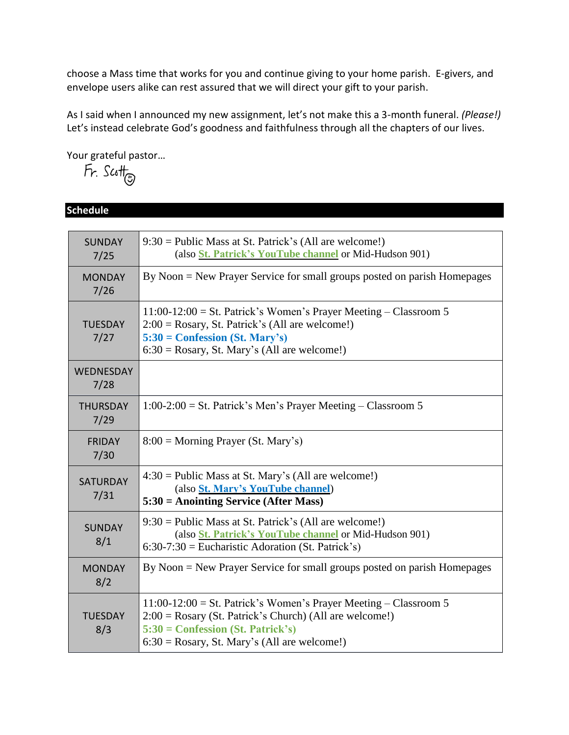choose a Mass time that works for you and continue giving to your home parish. E-givers, and envelope users alike can rest assured that we will direct your gift to your parish.

As I said when I announced my new assignment, let's not make this a 3-month funeral. *(Please!)* Let's instead celebrate God's goodness and faithfulness through all the chapters of our lives.

Your grateful pastor...<br>
Fr.  $\mathcal{S}$ cott<sub> $\odot$ </sub>

**Schedule**

| <b>SUNDAY</b><br>7/25   | $9:30 =$ Public Mass at St. Patrick's (All are welcome!)<br>(also <i>St. Patrick's YouTube channel</i> or Mid-Hudson 901)                                                                                                 |
|-------------------------|---------------------------------------------------------------------------------------------------------------------------------------------------------------------------------------------------------------------------|
| <b>MONDAY</b><br>7/26   | By Noon = New Prayer Service for small groups posted on parish Homepages                                                                                                                                                  |
| <b>TUESDAY</b><br>7/27  | $11:00-12:00 =$ St. Patrick's Women's Prayer Meeting – Classroom 5<br>$2:00 = Rosary$ , St. Patrick's (All are welcome!)<br>$5:30 =$ Confession (St. Mary's)<br>$6:30 = Rosary$ , St. Mary's (All are welcome!)           |
| WEDNESDAY<br>7/28       |                                                                                                                                                                                                                           |
| <b>THURSDAY</b><br>7/29 | $1:00-2:00 =$ St. Patrick's Men's Prayer Meeting – Classroom 5                                                                                                                                                            |
| <b>FRIDAY</b><br>7/30   | $8:00 =$ Morning Prayer (St. Mary's)                                                                                                                                                                                      |
| <b>SATURDAY</b><br>7/31 | $4:30 =$ Public Mass at St. Mary's (All are welcome!)<br>(also St. Mary's YouTube channel)<br>$5:30 =$ Anointing Service (After Mass)                                                                                     |
| <b>SUNDAY</b><br>8/1    | $9:30 =$ Public Mass at St. Patrick's (All are welcome!)<br>(also <i>St. Patrick's YouTube channel</i> or Mid-Hudson 901)<br>$6:30-7:30$ = Eucharistic Adoration (St. Patrick's)                                          |
| <b>MONDAY</b><br>8/2    | By Noon = New Prayer Service for small groups posted on parish Homepages                                                                                                                                                  |
| <b>TUESDAY</b><br>8/3   | $11:00-12:00 =$ St. Patrick's Women's Prayer Meeting – Classroom 5<br>$2:00 = Rosary$ (St. Patrick's Church) (All are welcome!)<br>$5:30 =$ Confession (St. Patrick's)<br>$6:30 = Rosary$ , St. Mary's (All are welcome!) |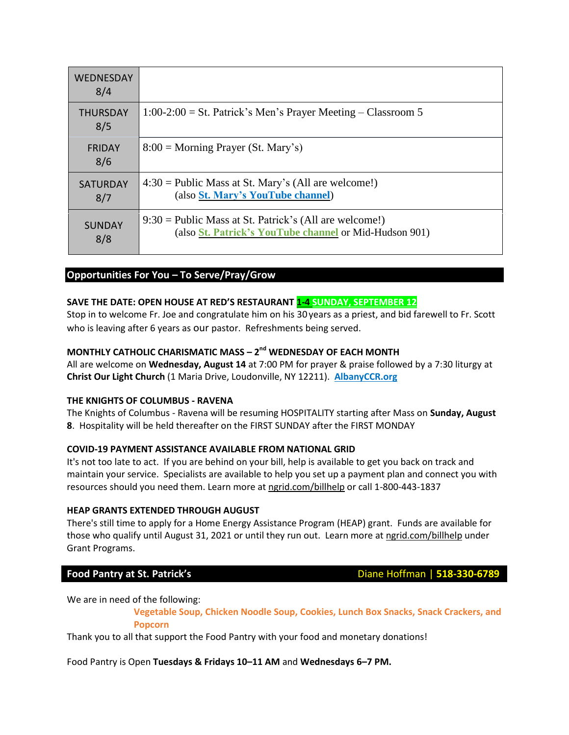| <b>WEDNESDAY</b><br>8/4 |                                                                                                                    |
|-------------------------|--------------------------------------------------------------------------------------------------------------------|
| <b>THURSDAY</b><br>8/5  | $1:00-2:00 =$ St. Patrick's Men's Prayer Meeting – Classroom 5                                                     |
| <b>FRIDAY</b><br>8/6    | $8:00 =$ Morning Prayer (St. Mary's)                                                                               |
| <b>SATURDAY</b><br>8/7  | $4:30 =$ Public Mass at St. Mary's (All are welcome!)<br>(also St. Mary's YouTube channel)                         |
| <b>SUNDAY</b><br>8/8    | $9:30 =$ Public Mass at St. Patrick's (All are welcome!)<br>(also St. Patrick's YouTube channel or Mid-Hudson 901) |

### **Opportunities For You – To Serve/Pray/Grow**

#### **SAVE THE DATE: OPEN HOUSE AT RED'S RESTAURANT 1-4 SUNDAY, SEPTEMBER 12**

Stop in to welcome Fr. Joe and congratulate him on his 30 years as a priest, and bid farewell to Fr. Scott who is leaving after 6 years as our pastor. Refreshments being served.

### **MONTHLY CATHOLIC CHARISMATIC MASS – 2 nd WEDNESDAY OF EACH MONTH**

All are welcome on **Wednesday, August 14** at 7:00 PM for prayer & praise followed by a 7:30 liturgy at **Christ Our Light Church** (1 Maria Drive, Loudonville, NY 12211). **[AlbanyCCR.org](http://albanyccr.org/)**

#### **THE KNIGHTS OF COLUMBUS - RAVENA**

The Knights of Columbus - Ravena will be resuming HOSPITALITY starting after Mass on **Sunday, August 8**. Hospitality will be held thereafter on the FIRST SUNDAY after the FIRST MONDAY

#### **COVID-19 PAYMENT ASSISTANCE AVAILABLE FROM NATIONAL GRID**

It's not too late to act. If you are behind on your bill, help is available to get you back on track and maintain your service. Specialists are available to help you set up a payment plan and connect you with resources should you need them. Learn more at [ngrid.com/billhelp](http://ngrid.com/billhelp) or call 1-800-443-1837

#### **HEAP GRANTS EXTENDED THROUGH AUGUST**

There's still time to apply for a Home Energy Assistance Program (HEAP) grant. Funds are available for those who qualify until August 31, 2021 or until they run out. Learn more at [ngrid.com/billhelp](http://ngrid.com/billhelp) under Grant Programs.

**Food Pantry at St. Patrick's Diane Hoffman | 518-330-6789** 

We are in need of the following:

**Vegetable Soup, Chicken Noodle Soup, Cookies, Lunch Box Snacks, Snack Crackers, and Popcorn**

Thank you to all that support the Food Pantry with your food and monetary donations!

Food Pantry is Open **Tuesdays & Fridays 10–11 AM** and **Wednesdays 6–7 PM.**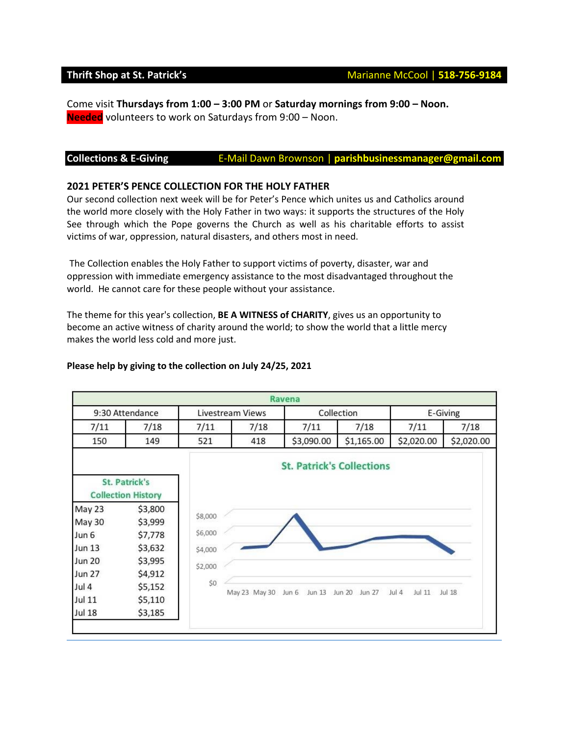Come visit **Thursdays from 1:00 – 3:00 PM** or **Saturday mornings from 9:00 – Noon. Needed** volunteers to work on Saturdays from 9:00 – Noon.

#### **Collections & E-Giving** E-Mail Dawn Brownson | **parishbusinessmanager@gmail.com**

#### **2021 PETER'S PENCE COLLECTION FOR THE HOLY FATHER**

Our second collection next week will be for Peter's Pence which unites us and Catholics around the world more closely with the Holy Father in two ways: it supports the structures of the Holy See through which the Pope governs the Church as well as his charitable efforts to assist victims of war, oppression, natural disasters, and others most in need.

The Collection enables the Holy Father to support victims of poverty, disaster, war and oppression with immediate emergency assistance to the most disadvantaged throughout the world. He cannot care for these people without your assistance.

The theme for this year's collection, **BE A WITNESS of CHARITY**, gives us an opportunity to become an active witness of charity around the world; to show the world that a little mercy makes the world less cold and more just.

#### **Please help by giving to the collection on July 24/25, 2021**

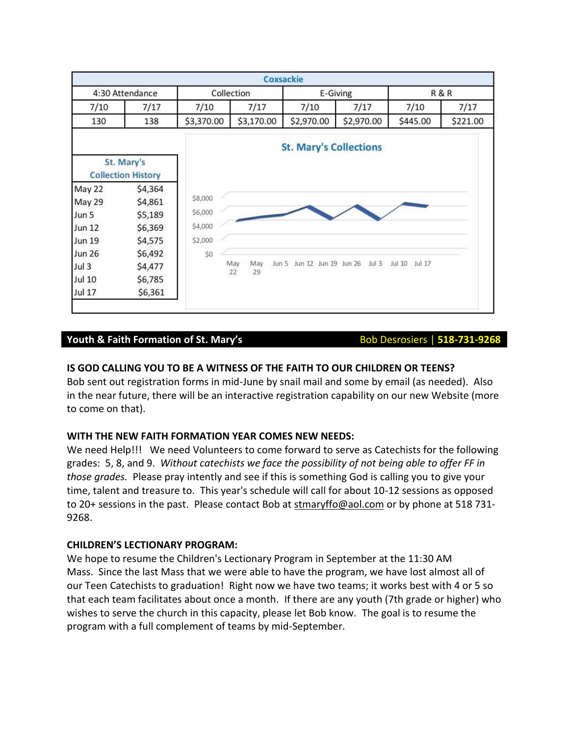

### **Youth & Faith Formation of St. Mary's <br>Bob Desrosiers | 518-731-9268**

### **IS GOD CALLING YOU TO BE A WITNESS OF THE FAITH TO OUR CHILDREN OR TEENS?**

Bob sent out registration forms in mid-June by snail mail and some by email (as needed). Also in the near future, there will be an interactive registration capability on our new Website (more to come on that).

### **WITH THE NEW FAITH FORMATION YEAR COMES NEW NEEDS:**

We need Help!!! We need Volunteers to come forward to serve as Catechists for the following grades: 5, 8, and 9. *Without catechists we face the possibility of not being able to offer FF in those grades.* Please pray intently and see if this is something God is calling you to give your time, talent and treasure to. This year's schedule will call for about 10-12 sessions as opposed to 20+ sessions in the past. Please contact Bob at [stmaryffo@aol.com](mailto:stmaryffo@aol.com) or by phone at 518 731- 9268.

#### **CHILDREN'S LECTIONARY PROGRAM:**

We hope to resume the Children's Lectionary Program in September at the 11:30 AM Mass. Since the last Mass that we were able to have the program, we have lost almost all of our Teen Catechists to graduation! Right now we have two teams; it works best with 4 or 5 so that each team facilitates about once a month. If there are any youth (7th grade or higher) who wishes to serve the church in this capacity, please let Bob know. The goal is to resume the program with a full complement of teams by mid-September.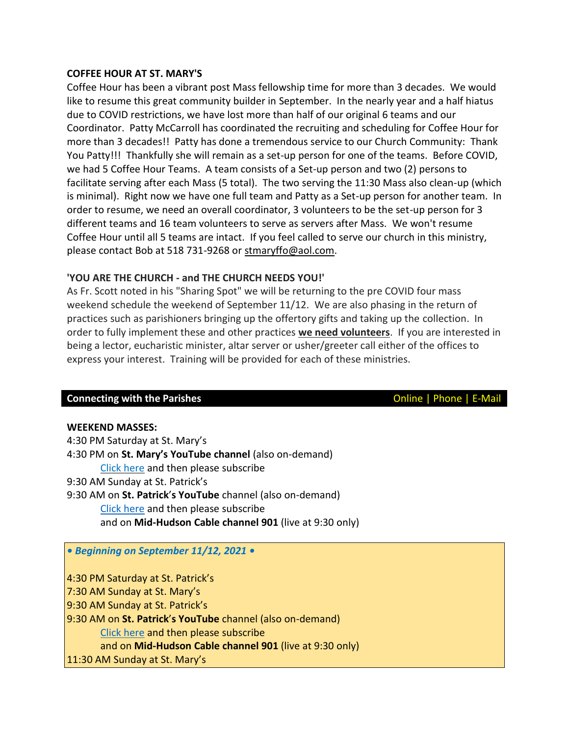#### **COFFEE HOUR AT ST. MARY'S**

Coffee Hour has been a vibrant post Mass fellowship time for more than 3 decades. We would like to resume this great community builder in September. In the nearly year and a half hiatus due to COVID restrictions, we have lost more than half of our original 6 teams and our Coordinator. Patty McCarroll has coordinated the recruiting and scheduling for Coffee Hour for more than 3 decades!! Patty has done a tremendous service to our Church Community: Thank You Patty!!! Thankfully she will remain as a set-up person for one of the teams. Before COVID, we had 5 Coffee Hour Teams. A team consists of a Set-up person and two (2) persons to facilitate serving after each Mass (5 total). The two serving the 11:30 Mass also clean-up (which is minimal). Right now we have one full team and Patty as a Set-up person for another team. In order to resume, we need an overall coordinator, 3 volunteers to be the set-up person for 3 different teams and 16 team volunteers to serve as servers after Mass. We won't resume Coffee Hour until all 5 teams are intact. If you feel called to serve our church in this ministry, please contact Bob at 518 731-9268 or [stmaryffo@aol.com.](mailto:stmaryffo@aol.com)

## **'YOU ARE THE CHURCH - and THE CHURCH NEEDS YOU!'**

As Fr. Scott noted in his "Sharing Spot" we will be returning to the pre COVID four mass weekend schedule the weekend of September 11/12. We are also phasing in the return of practices such as parishioners bringing up the offertory gifts and taking up the collection. In order to fully implement these and other practices **we need volunteers**. If you are interested in being a lector, eucharistic minister, altar server or usher/greeter call either of the offices to express your interest. Training will be provided for each of these ministries.

### **Connecting with the Parishes Connecting with the Parishes Connecting With the Parishes**

### **WEEKEND MASSES:**

4:30 PM Saturday at St. Mary's 4:30 PM on **St. Mary's YouTube channel** (also on-demand) Click [here](https://www.youtube.com/channel/UCfROBLJIztwzZryPen47Yig/featured) and then please subscribe 9:30 AM Sunday at St. Patrick's 9:30 AM on **St. Patrick**'**s YouTube** channel (also on-demand) Click [here](https://www.youtube.com/channel/UCIRr4Mwue0TdsuS3HtWm4DA) and then please subscribe

and on **Mid-Hudson Cable channel 901** (live at 9:30 only)

### *• Beginning on September 11/12, 2021 •*

4:30 PM Saturday at St. Patrick's 7:30 AM Sunday at St. Mary's 9:30 AM Sunday at St. Patrick's 9:30 AM on **St. Patrick**'**s YouTube** channel (also on-demand) Click [here](https://www.youtube.com/channel/UCIRr4Mwue0TdsuS3HtWm4DA) and then please subscribe and on **Mid-Hudson Cable channel 901** (live at 9:30 only) 11:30 AM Sunday at St. Mary's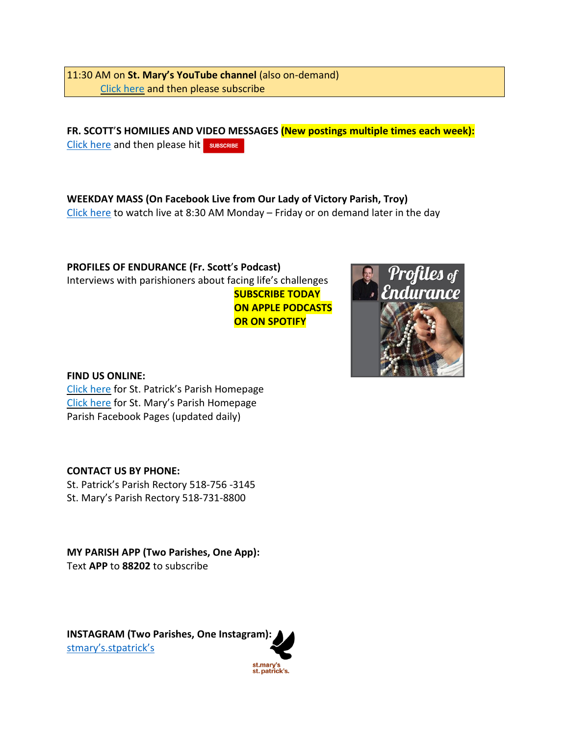11:30 AM on **St. Mary's YouTube channel** (also on-demand) Click [here](https://www.youtube.com/channel/UCfROBLJIztwzZryPen47Yig/featured) and then please subscribe

**FR. SCOTT**'**S HOMILIES AND VIDEO MESSAGES (New postings multiple times each week):** Click [here](https://www.youtube.com/channel/UCmBzEQRr6ZETPRkYtMaCxJg) and then please hit sUBSCRIBE

**WEEKDAY MASS (On Facebook Live from Our Lady of Victory Parish, Troy)** Click [here](https://www.facebook.com/olvols/) to watch live at 8:30 AM Monday – Friday or on demand later in the day

**PROFILES OF ENDURANCE (Fr. Scott**'**s Podcast)** Interviews with parishioners about facing life's challenges **SUBSCRIBE TODAY ON APPLE PODCASTS OR ON SPOTIFY**



### **FIND US ONLINE:**

Click [here](https://churchofsaintpatrick.wixsite.com/church-ravena) for St. Patrick's Parish Homepage Click [here](https://stmaryscoxsackie.com/) for St. Mary's Parish Homepage Parish Facebook Pages (updated daily)

# **CONTACT US BY PHONE:**

St. Patrick's Parish Rectory 518-756 -3145 St. Mary's Parish Rectory 518-731-8800

**MY PARISH APP (Two Parishes, One App):** Text **APP** to **88202** to subscribe

**INSTAGRAM (Two Parishes, One Instagram):** stmary'[s.stpatrick](https://www.instagram.com/stmarys.stpatricks/?igshid=10izyiwmsb7xr)'s